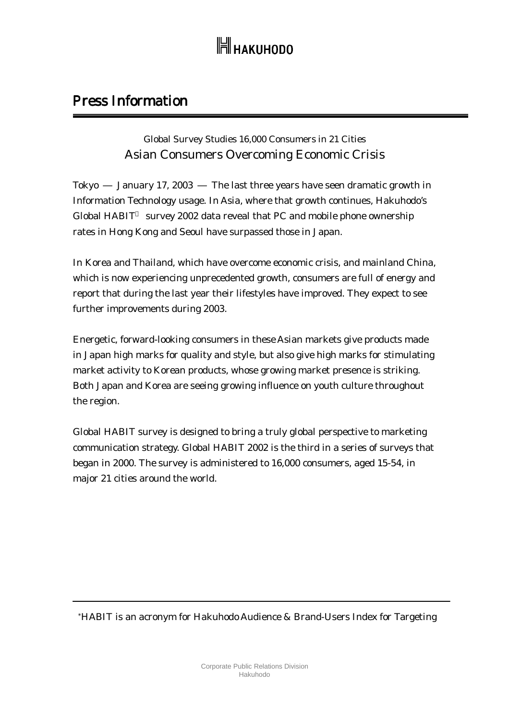## **H** накиноро

### Press Information

### Global Survey Studies 16,000 Consumers in 21 Cities Asian Consumers Overcoming Economic Crisis

Tokyo January 17, 2003 The last three years have seen dramatic growth in Information Technology usage. In Asia, where that growth continues, Hakuhodo's Global HABIT survey 2002 data reveal that PC and mobile phone ownership rates in Hong Kong and Seoul have surpassed those in Japan.

In Korea and Thailand, which have overcome economic crisis, and mainland China, which is now experiencing unprecedented growth, consumers are full of energy and report that during the last year their lifestyles have improved. They expect to see further improvements during 2003.

Energetic, forward-looking consumers in these Asian markets give products made in Japan high marks for quality and style, but also give high marks for stimulating market activity to Korean products, whose growing market presence is striking. Both Japan and Korea are seeing growing influence on youth culture throughout the region.

Global HABIT survey is designed to bring a truly global perspective to marketing communication strategy. Global HABIT 2002 is the third in a series of surveys that began in 2000. The survey is administered to 16,000 consumers, aged 15-54, in major 21 cities around the world.

\*HABIT is an acronym for Hakuhodo Audience & Brand-Users Index for Targeting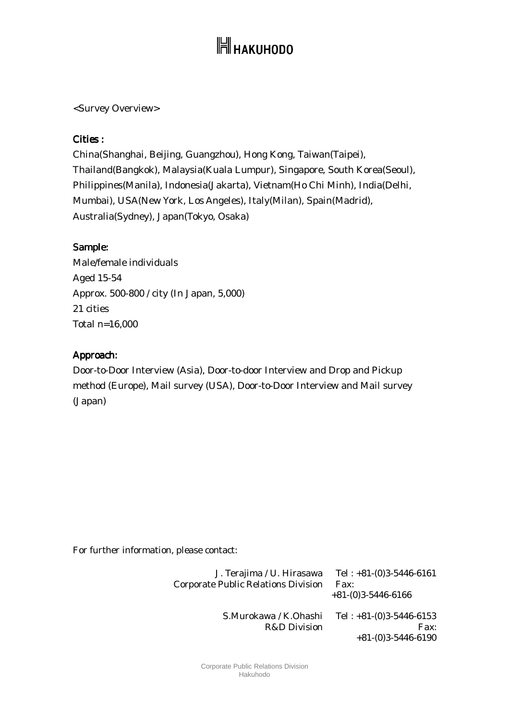# **H** накиноро

<Survey Overview>

#### Cities :

China(Shanghai, Beijing, Guangzhou), Hong Kong, Taiwan(Taipei), Thailand(Bangkok), Malaysia(Kuala Lumpur), Singapore, South Korea(Seoul), Philippines(Manila), Indonesia(Jakarta), Vietnam(Ho Chi Minh), India(Delhi, Mumbai), USA(New York, Los Angeles), Italy(Milan), Spain(Madrid), Australia(Sydney), Japan(Tokyo, Osaka)

#### Sample:

Male/female individuals Aged 15-54 Approx. 500-800 / city (In Japan, 5,000) 21 cities Total n=16,000

#### Approach: Approach:

Door-to-Door Interview (Asia), Door-to-door Interview and Drop and Pickup method (Europe), Mail survey (USA), Door-to-Door Interview and Mail survey (Japan)

For further information, please contact:

| J. Terajima / U. Hirasawa<br><b>Corporate Public Relations Division</b> | Tel: $+81-(0)3-5446-6161$<br>Fax:<br>$+81-(0)3-5446-6166$ |
|-------------------------------------------------------------------------|-----------------------------------------------------------|
| S.Murokawa / K.Ohashi<br>R&D Division                                   | Tel: $+81-(0)3-5446-6153$<br>Fax:<br>$+81-(0)3-5446-6190$ |

Corporate Public Relations Division Hakuhodo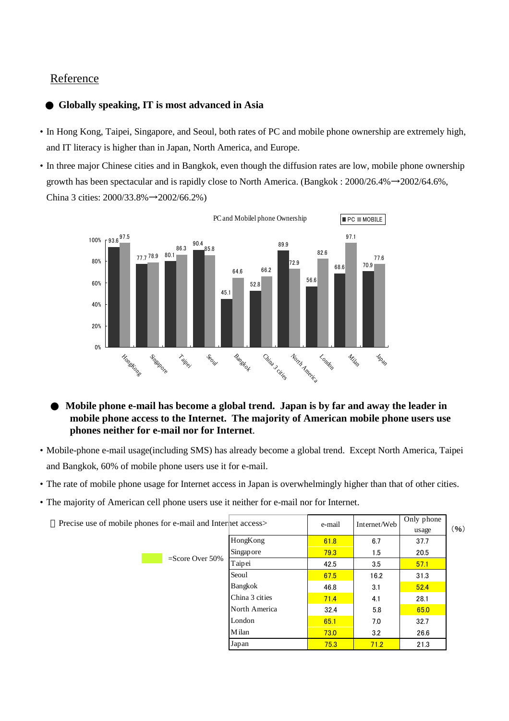#### Reference

#### **Globally speaking, IT is most advanced in Asia**

- In Hong Kong, Taipei, Singapore, and Seoul, both rates of PC and mobile phone ownership are extremely high, and IT literacy is higher than in Japan, North America, and Europe.
- In three major Chinese cities and in Bangkok, even though the diffusion rates are low, mobile phone ownership growth has been spectacular and is rapidly close to North America. (Bangkok : 2000/26.4%→2002/64.6%, China 3 cities: 2000/33.8%→2002/66.2%)



**Mobile phone e-mail has become a global trend. Japan is by far and away the leader in mobile phone access to the Internet. The majority of American mobile phone users use phones neither for e-mail nor for Internet**.

- Mobile-phone e-mail usage(including SMS) has already become a global trend. Except North America, Taipei and Bangkok, 60% of mobile phone users use it for e-mail.
- The rate of mobile phone usage for Internet access in Japan is overwhelmingly higher than that of other cities.
- The majority of American cell phone users use it neither for e-mail nor for Internet.

| Precise use of mobile phones for e-mail and Internet access> |                | e-mail | Internet/Web | Only phone<br>usage | (96) |
|--------------------------------------------------------------|----------------|--------|--------------|---------------------|------|
|                                                              | HongKong       | 61.8   | 6.7          | 37.7                |      |
|                                                              | Singapore      | 79.3   | 1.5          | 20.5                |      |
| $=$ Score Over 50%                                           | Taipei         | 42.5   | 3.5          | 57.1                |      |
|                                                              | Seoul          | 67.5   | 16.2         | 31.3                |      |
|                                                              | Bangkok        | 46.8   | 3.1          | 52.4                |      |
|                                                              | China 3 cities | 71.4   | 4.1          | 28.1                |      |
|                                                              | North America  | 32.4   | 5.8          | 65.0                |      |
|                                                              | London         | 65.1   | 7.0          | 32.7                |      |
|                                                              | M ilan         | 73.0   | 3.2          | 26.6                |      |
|                                                              | Japan          | 75.3   | 71.2         | 21.3                |      |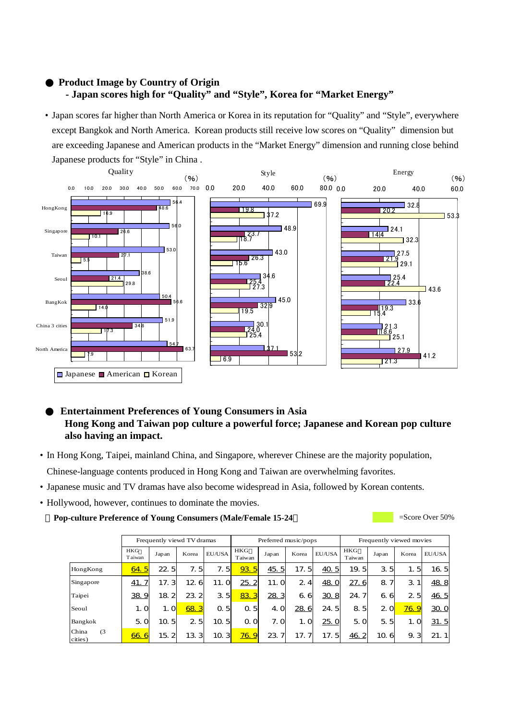#### **Product Image by Country of Origin - Japan scores high for "Quality" and "Style", Korea for "Market Energy"**

• Japan scores far higher than North America or Korea in its reputation for "Quality" and "Style", everywhere except Bangkok and North America. Korean products still receive low scores on "Quality" dimension but are exceeding Japanese and American products in the "Market Energy" dimension and running close behind Japanese products for "Style" in China .



#### **Entertainment Preferences of Young Consumers in Asia Hong Kong and Taiwan pop culture a powerful force; Japanese and Korean pop culture also having an impact.**

- In Hong Kong, Taipei, mainland China, and Singapore, wherever Chinese are the majority population, Chinese-language contents produced in Hong Kong and Taiwan are overwhelming favorites.
- Japanese music and TV dramas have also become widespread in Asia, followed by Korean contents.
- Hollywood, however, continues to dominate the movies.

**Pop-culture Preference of Young Consumers (Male/Female 15-24** = Score Over 50%

|                         | Frequently viewd TV dramas |          |       |                      | Preferred music/pops |       |       | Frequently viewed movies |                |          |              |        |
|-------------------------|----------------------------|----------|-------|----------------------|----------------------|-------|-------|--------------------------|----------------|----------|--------------|--------|
|                         | <b>HKG</b><br>T aiwan      | Japan    | Korea | EU/USA               | <b>HKG</b><br>Taiwan | Japan | Korea | EU/USA                   | HKG<br>Taiwan  | Japan    | Korea        | EU/USA |
| HongKong                | 64.5                       | 22.5     | 7.5   | 7.5                  | 93.5                 | 45.5  | 17.5  | 40.5                     | 19.5           | 3.5      | 1.5          | 16.5   |
| Singapore               | 41.7                       | 17.3     | 126   | 11.0                 | 25.2                 | 11. O | 2.4   | 48. O                    | 27.6           | 8<br>71  | 3.1          | 48.8   |
| Taipei                  | 38.9                       | 18.2     | 23.2  | 3.5                  | 83.3                 | 28.3  | 6.6   | 30.8                     | 24.7           | 6.<br>6  | 2.5          | 46.5   |
| Seoul                   | 1.0                        | 1.0      | 68.3  | 0.5                  | -51<br>$\Omega$      | 4. Q  | 28.6  | 24.5                     | 8.5            | 20       | <u>76. 9</u> | 30. O  |
| Bangkok                 | 5.0                        | 5<br>10. | 25    | 10.5                 | O<br>$\Omega$        | 7. O  | 1.0   | 25. O                    | 5.0            | 5.<br>5  | 1.0          | 31.5   |
| China<br>(3)<br>cities) | 66.6                       | 15.2     | 13.3  | 10. 3 <mark>1</mark> | <b>76.9</b>          | 23.   | 17.7  | 17.5                     | $\frac{46}{5}$ | 10.<br>6 | 9.3          | 21.1   |